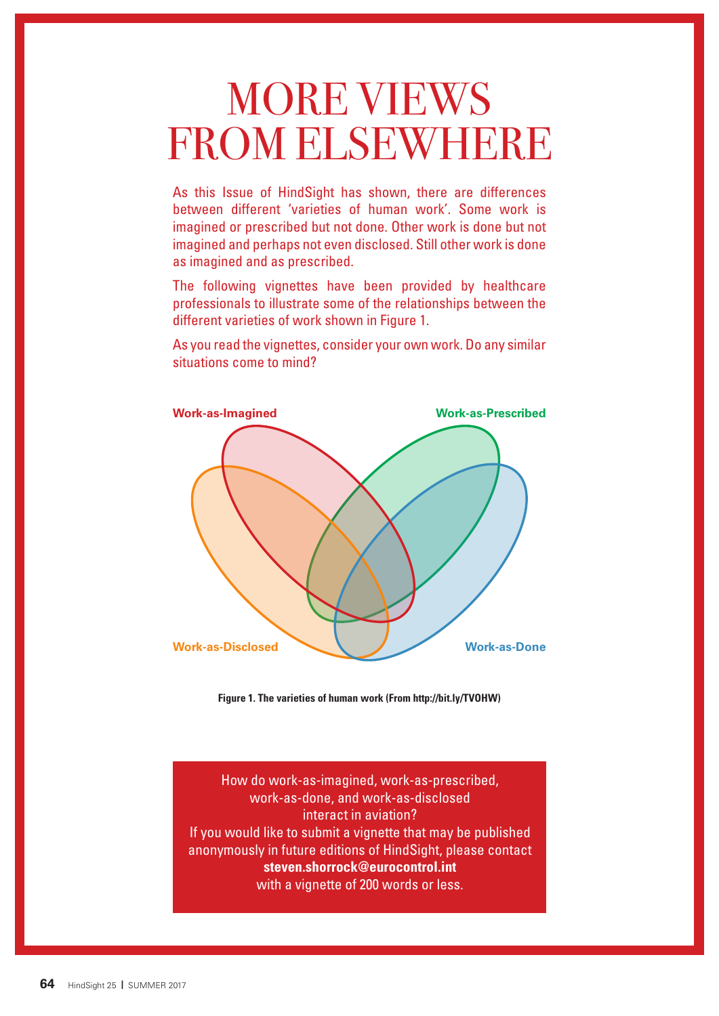# MORE VIEWS FROM ELSEWHERE

As this Issue of HindSight has shown, there are differences between different 'varieties of human work'. Some work is imagined or prescribed but not done. Other work is done but not imagined and perhaps not even disclosed. Still other work is done as imagined and as prescribed.

The following vignettes have been provided by healthcare professionals to illustrate some of the relationships between the different varieties of work shown in Figure 1.

As you read the vignettes, consider your own work. Do any similar situations come to mind?



**Figure 1. The varieties of human work (From http://bit.ly/TVOHW)**

How do work-as-imagined, work-as-prescribed, work-as-done, and work-as-disclosed interact in aviation? If you would like to submit a vignette that may be published anonymously in future editions of HindSight, please contact **steven.shorrock@eurocontrol.int** with a vignette of 200 words or less.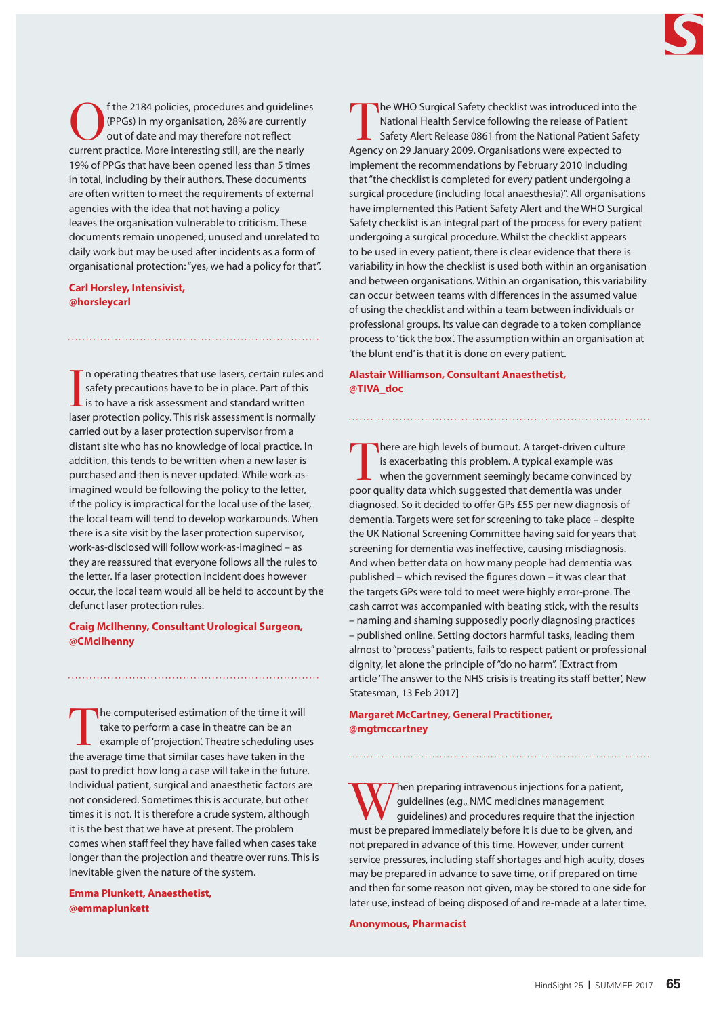

f the 2184 policies, procedures and guidelines (PPGs) in my organisation, 28% are currently out of date and may therefore not reflect current practice. More interesting still, are the nearly 19% of PPGs that have been opened less than 5 times in total, including by their authors. These documents are often written to meet the requirements of external agencies with the idea that not having a policy leaves the organisation vulnerable to criticism. These documents remain unopened, unused and unrelated to daily work but may be used after incidents as a form of organisational protection: "yes, we had a policy for that".

# **Carl Horsley, Intensivist, @horsleycarl**

In operating theatres that use lasers, certain rules an safety precautions have to be in place. Part of this is to have a risk assessment and standard written laser protection policy. This risk assessment is normally n operating theatres that use lasers, certain rules and safety precautions have to be in place. Part of this  $\mathsf{\mathsf{L}}$  is to have a risk assessment and standard written carried out by a laser protection supervisor from a distant site who has no knowledge of local practice. In addition, this tends to be written when a new laser is purchased and then is never updated. While work-asimagined would be following the policy to the letter, if the policy is impractical for the local use of the laser, the local team will tend to develop workarounds. When there is a site visit by the laser protection supervisor, work-as-disclosed will follow work-as-imagined – as they are reassured that everyone follows all the rules to the letter. If a laser protection incident does however occur, the local team would all be held to account by the defunct laser protection rules.

# **Craig McIlhenny, Consultant Urological Surgeon, @CMcIlhenny**

The computerised estimation of the time it will take to perform a case in theatre can be an example of 'projection'. Theatre scheduling uses the average time that similar cases have taken in the past to predict how long a case will take in the future. Individual patient, surgical and anaesthetic factors are not considered. Sometimes this is accurate, but other times it is not. It is therefore a crude system, although it is the best that we have at present. The problem comes when staff feel they have failed when cases take longer than the projection and theatre over runs. This is inevitable given the nature of the system.

**Emma Plunkett, Anaesthetist, @emmaplunkett**

The WHO Surgical Safety checklist was introduced into the National Health Service following the release of Patient Safety Alert Release 0861 from the National Patient Safety Agency on 29 January 2009. Organisations were expected to implement the recommendations by February 2010 including that "the checklist is completed for every patient undergoing a surgical procedure (including local anaesthesia)". All organisations have implemented this Patient Safety Alert and the WHO Surgical Safety checklist is an integral part of the process for every patient undergoing a surgical procedure. Whilst the checklist appears to be used in every patient, there is clear evidence that there is variability in how the checklist is used both within an organisation and between organisations. Within an organisation, this variability can occur between teams with differences in the assumed value of using the checklist and within a team between individuals or professional groups. Its value can degrade to a token compliance process to 'tick the box'. The assumption within an organisation at 'the blunt end' is that it is done on every patient.

# **Alastair Williamson, Consultant Anaesthetist, @TIVA\_doc**

There are high levels of burnout. A target-driven culture<br>is exacerbating this problem. A typical example was<br>when the government seemingly became convinced by<br>near guality data which suggested that demantis we under is exacerbating this problem. A typical example was when the government seemingly became convinced by poor quality data which suggested that dementia was under diagnosed. So it decided to offer GPs £55 per new diagnosis of dementia. Targets were set for screening to take place – despite the UK National Screening Committee having said for years that screening for dementia was ineffective, causing misdiagnosis. And when better data on how many people had dementia was published – which revised the figures down – it was clear that the targets GPs were told to meet were highly error-prone. The cash carrot was accompanied with beating stick, with the results – naming and shaming supposedly poorly diagnosing practices – published online. Setting doctors harmful tasks, leading them almost to "process" patients, fails to respect patient or professional dignity, let alone the principle of "do no harm". [Extract from article 'The answer to the NHS crisis is treating its staff better', New Statesman, 13 Feb 2017]

# **Margaret McCartney, General Practitioner, @mgtmccartney**

W Then preparing intravenous injections for a patient,<br>guidelines (e.g., NMC medicines management<br>guidelines) and procedures require that the injection<br>and immediately before it is due to be given and guidelines (e.g., NMC medicines management guidelines) and procedures require that the injection must be prepared immediately before it is due to be given, and not prepared in advance of this time. However, under current service pressures, including staff shortages and high acuity, doses may be prepared in advance to save time, or if prepared on time and then for some reason not given, may be stored to one side for later use, instead of being disposed of and re-made at a later time.

## **Anonymous, Pharmacist**